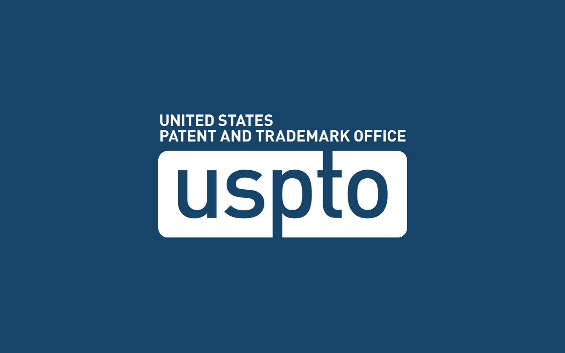#### **UNITED STATES** PATENT AND TRADEMARK OFFICE

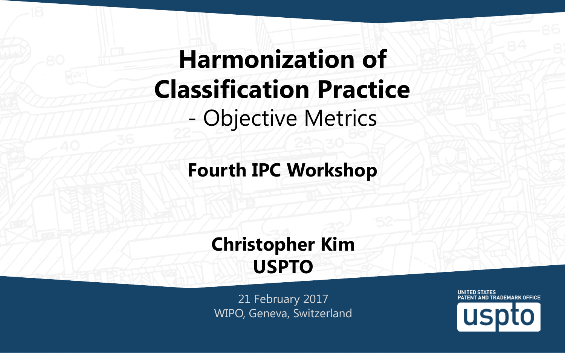# **Harmonization of Classification Practice** - Objective Metrics

#### **Fourth IPC Workshop**

#### **Christopher Kim USPTO**

21 February 2017 WIPO, Geneva, Switzerland

UNITED STATES PATENT AND TRADEMARK OFFICE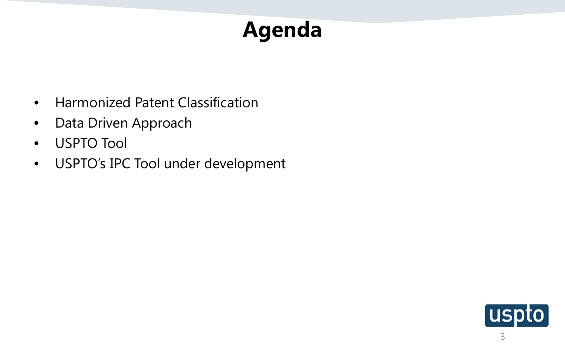# **Agenda**

- Harmonized Patent Classification
- Data Driven Approach
- USPTO Tool
- USPTO's IPC Tool under development

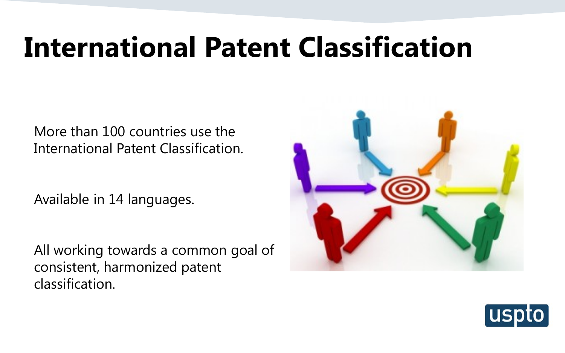# **International Patent Classification**

More than 100 countries use the International Patent Classification.

Available in 14 languages.

All working towards a common goal of consistent, harmonized patent classification.



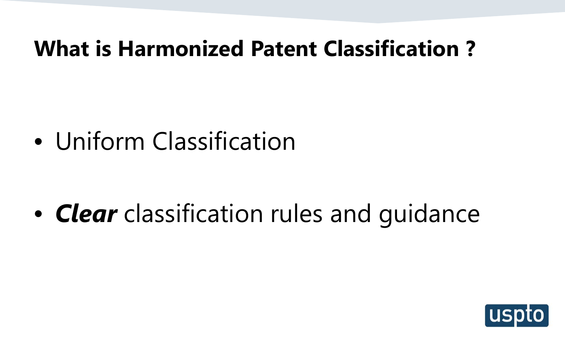### **What is Harmonized Patent Classification ?**

• Uniform Classification

• *Clear* classification rules and guidance

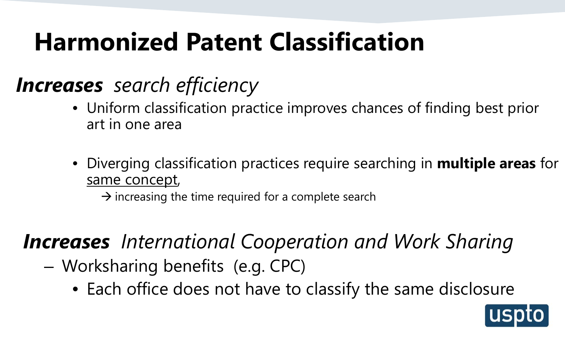# **Harmonized Patent Classification**

### *Increases search efficiency*

- Uniform classification practice improves chances of finding best prior art in one area
- Diverging classification practices require searching in **multiple areas** for same concept,

 $\rightarrow$  increasing the time required for a complete search

### *Increases International Cooperation and Work Sharing*

- Worksharing benefits (e.g. CPC)
	- Each office does not have to classify the same disclosure

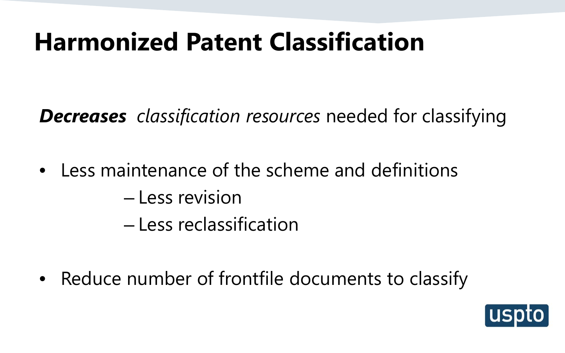# **Harmonized Patent Classification**

*Decreases classification resources* needed for classifying

• Less maintenance of the scheme and definitions

– Less revision

– Less reclassification

• Reduce number of frontfile documents to classify

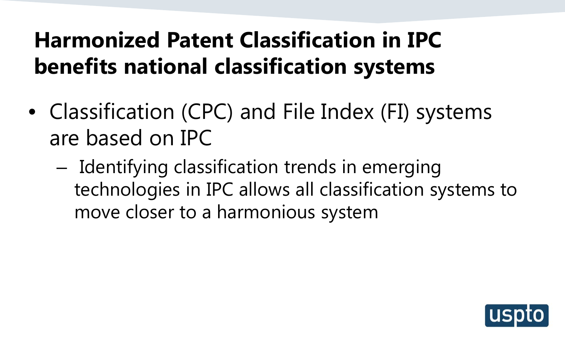## **Harmonized Patent Classification in IPC benefits national classification systems**

- Classification (CPC) and File Index (FI) systems are based on IPC
	- Identifying classification trends in emerging technologies in IPC allows all classification systems to move closer to a harmonious system

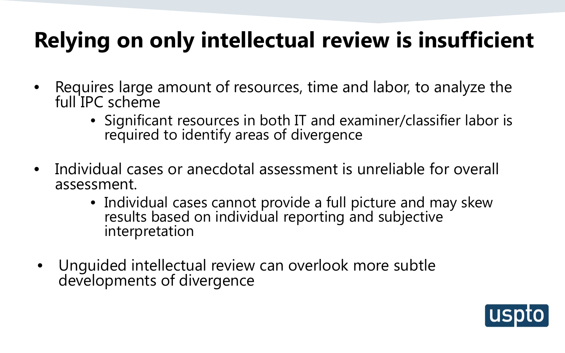# **Relying on only intellectual review is insufficient**

- Requires large amount of resources, time and labor, to analyze the full IPC scheme
	- Significant resources in both IT and examiner/classifier labor is required to identify areas of divergence
- Individual cases or anecdotal assessment is unreliable for overall assessment.
	- Individual cases cannot provide a full picture and may skew results based on individual reporting and subjective interpretation
- Unguided intellectual review can overlook more subtle developments of divergence

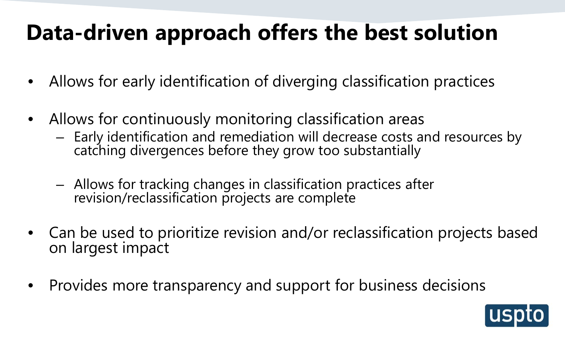## **Data-driven approach offers the best solution**

- Allows for early identification of diverging classification practices
- Allows for continuously monitoring classification areas
	- Early identification and remediation will decrease costs and resources by catching divergences before they grow too substantially
	- Allows for tracking changes in classification practices after revision/reclassification projects are complete
- Can be used to prioritize revision and/or reclassification projects based on largest impact
- Provides more transparency and support for business decisions

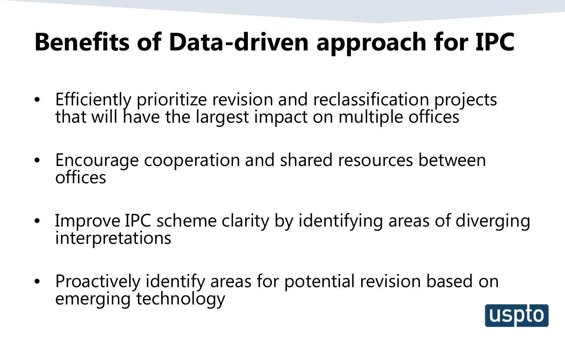# **Benefits of Data-driven approach for IPC**

- Efficiently prioritize revision and reclassification projects that will have the largest impact on multiple offices
- Encourage cooperation and shared resources between offices
- Improve IPC scheme clarity by identifying areas of diverging interpretations
- Proactively identify areas for potential revision based on emerging technology

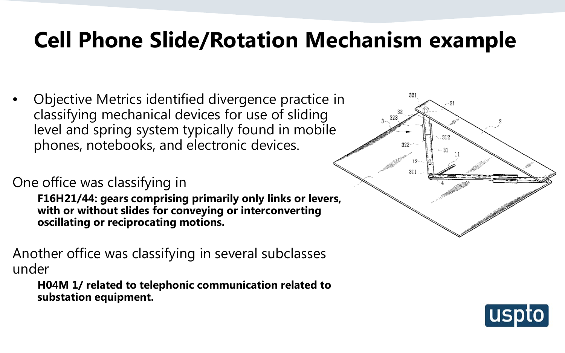## **Cell Phone Slide/Rotation Mechanism example**

• Objective Metrics identified divergence practice in classifying mechanical devices for use of sliding level and spring system typically found in mobile phones, notebooks, and electronic devices.

#### One office was classifying in

**F16H21/44: gears comprising primarily only links or levers, with or without slides for conveying or interconverting oscillating or reciprocating motions.**

Another office was classifying in several subclasses under

**H04M 1/ related to telephonic communication related to substation equipment.**



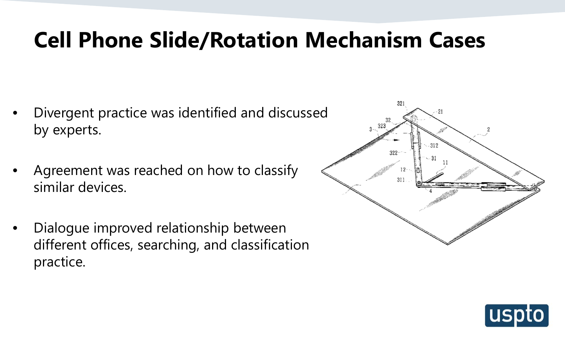## **Cell Phone Slide/Rotation Mechanism Cases**

- Divergent practice was identified and discussed by experts.
- Agreement was reached on how to classify similar devices.
- Dialogue improved relationship between different offices, searching, and classification practice.



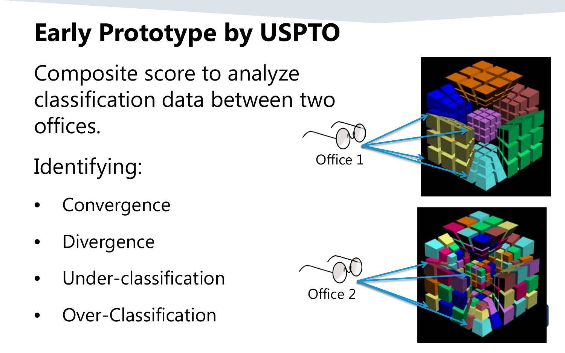# **Early Prototype by USPTO**

Composite score to analyze classification data between two offices.

Identifying:

- **Convergence**
- **Divergence**
- Under-classification
- Over-Classification



Office 1

Office 2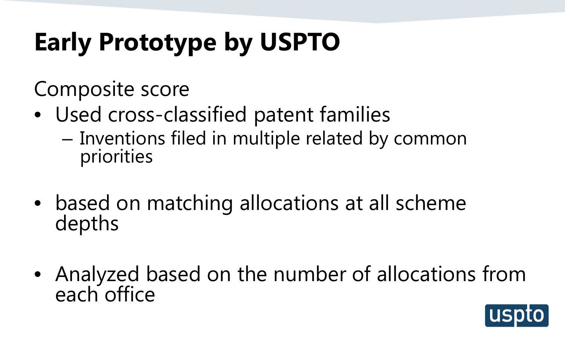# **Early Prototype by USPTO**

Composite score

- Used cross-classified patent families
	- Inventions filed in multiple related by common priorities
- based on matching allocations at all scheme depths
- Analyzed based on the number of allocations from each office

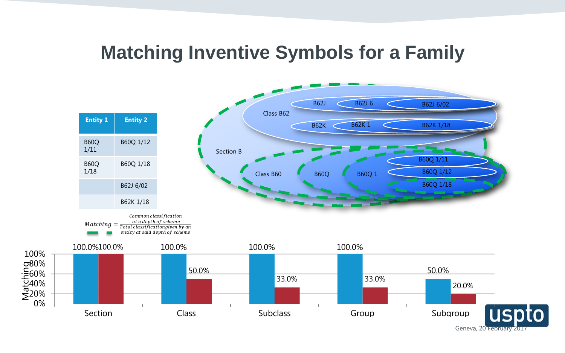#### **Matching Inventive Symbols for a Family**



0% 20% 40% 60% o80%<br>E60%<br>E40%<br>∑20%

100%

Geneva, 20 February 2017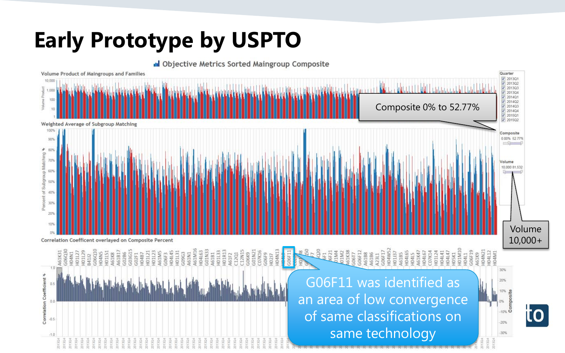## **Early Prototype by USPTO**

 $-0.5$ 

 $-1.0$ 



of same classifications on

same technology

 $-20%$  $-30%$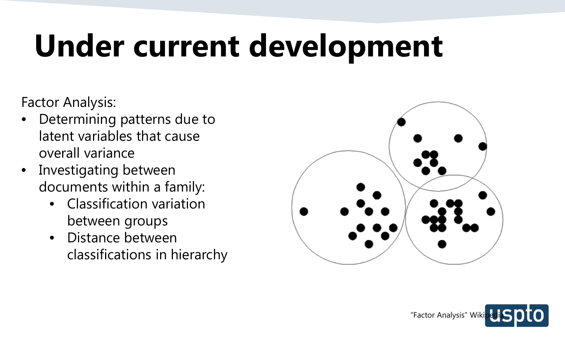# **Under current development**

Factor Analysis:

- Determining patterns due to latent variables that cause overall variance
- Investigating between documents within a family:
	- Classification variation between groups
	- Distance between classifications in hierarchy



![](_page_17_Picture_7.jpeg)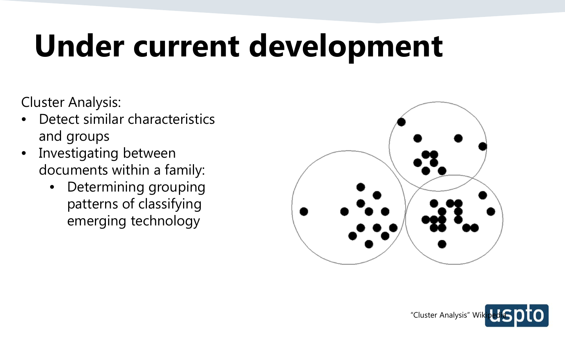# **Under current development**

Cluster Analysis:

- Detect similar characteristics and groups
- Investigating between documents within a family:
	- Determining grouping patterns of classifying emerging technology

![](_page_18_Figure_5.jpeg)

![](_page_18_Picture_6.jpeg)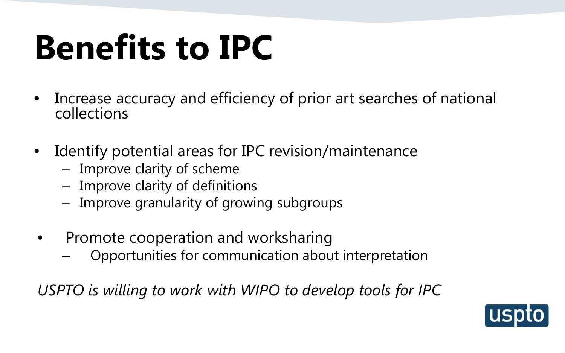# **Benefits to IPC**

- Increase accuracy and efficiency of prior art searches of national collections
- Identify potential areas for IPC revision/maintenance
	- Improve clarity of scheme
	- Improve clarity of definitions
	- Improve granularity of growing subgroups
- Promote cooperation and worksharing
	- Opportunities for communication about interpretation

*USPTO is willing to work with WIPO to develop tools for IPC*

![](_page_19_Picture_9.jpeg)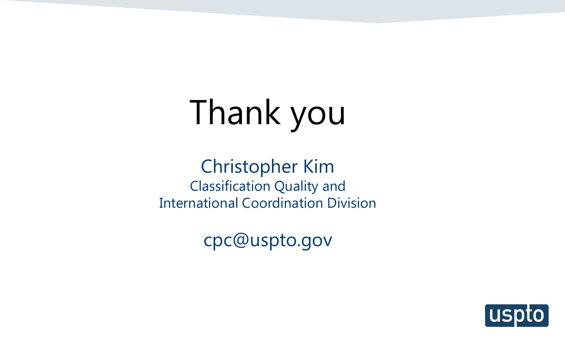# Thank you

Christopher Kim Classification Quality and International Coordination Division

cpc@uspto.gov

![](_page_20_Picture_3.jpeg)